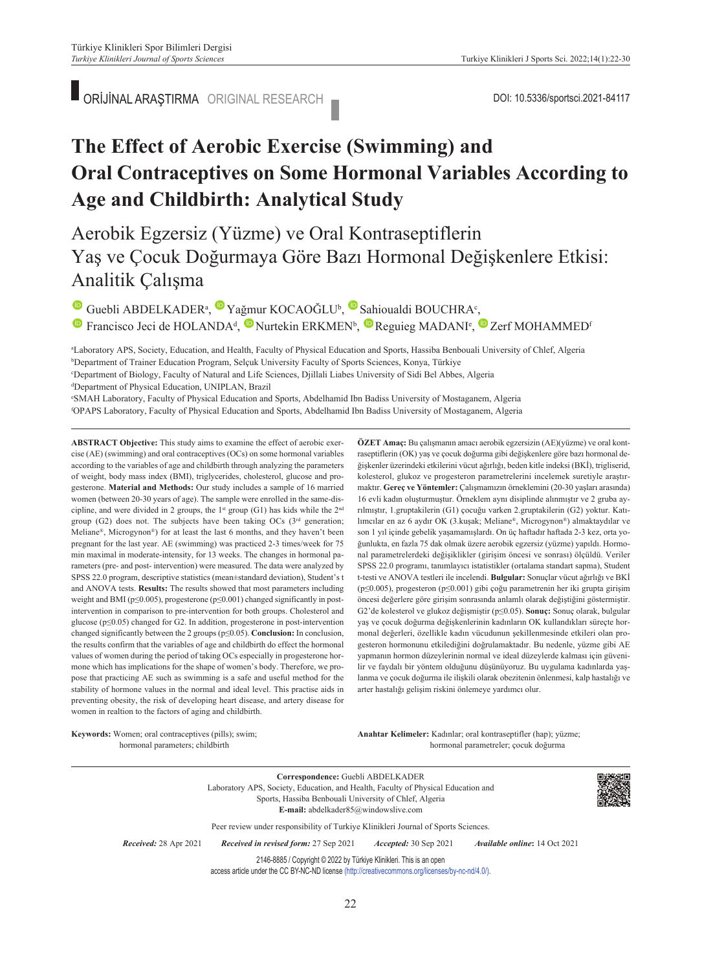# **The Effect of Aerobic Exercise (Swimming) and Oral Contraceptives on Some Hormonal Variables According to Age and Childbirth: Analytical Study**

Aerobik Egzersiz (Yüzme) ve Oral Kontraseptiflerin Yaş ve Çocuk Doğurmaya Göre Bazı Hormonal Değişkenlere Etkisi: Analitik Çalışma

GuebliABDELKADER<sup>a</sup>, Yağmur KOCAOĞLU<sup>b</sup>, Sahioualdi BOUCHRA<sup>c</sup>,

<sup>1</sup>Francisco Jeci de HOLANDA<sup>d</sup>, <sup>1</sup> Nurtekin ERKMEN<sup>b</sup>, <sup>1</sup> Reguieg MADANI<sup>e</sup>, <sup>1</sup> Zerf MOHAMMED<sup>6</sup>

a Laboratory APS, Society, Education, and Health, Faculty of Physical Education and Sports, Hassiba Benbouali University of Chlef, Algeria b Department of Trainer Education Program, Selçuk University Faculty of Sports Sciences, Konya, Türkiye c Department of Biology, Faculty of Natural and Life Sciences, Djillali Liabes University of Sidi Bel Abbes, Algeria d Department of Physical Education, UNIPLAN, Brazil

e SMAH Laboratory, Faculty of Physical Education and Sports, Abdelhamid Ibn Badiss University of Mostaganem, Algeria f OPAPS Laboratory, Faculty of Physical Education and Sports, Abdelhamid Ibn Badiss University of Mostaganem, Algeria

**ABS TRACT Objective:** This study aims to examine the effect of aerobic exercise (AE) (swimming) and oral contraceptives (OCs) on some hormonal variables according to the variables of age and childbirth through analyzing the parameters of weight, body mass index (BMI), triglycerides, cholesterol, glucose and progesterone. **Material and Methods:** Our study includes a sample of 16 married women (between 20-30 years of age). The sample were enrolled in the same-discipline, and were divided in 2 groups, the 1<sup>st</sup> group (G1) has kids while the 2<sup>nd</sup> group (G2) does not. The subjects have been taking OCs ( $3<sup>rd</sup>$  generation; Meliane®, Microgynon®) for at least the last 6 months, and they haven't been pregnant for the last year. AE (swimming) was practiced 2-3 times/week for 75 min maximal in moderate-intensity, for 13 weeks. The changes in hormonal parameters (pre- and post- intervention) were measured. The data were analyzed by SPSS 22.0 program, descriptive statistics (mean±standard deviation), Student's t and ANOVA tests. **Results:** The results showed that most parameters including weight and BMI (p≤0.005), progesterone (p≤0.001) changed significantly in postintervention in comparison to pre-intervention for both groups. Cholesterol and glucose (p≤0.05) changed for G2. In addition, progesterone in post-intervention changed significantly between the 2 groups (p≤0.05). **Conclusion:** In conclusion, the results confirm that the variables of age and childbirth do effect the hormonal values of women during the period of taking OCs especially in progesterone hormone which has implications for the shape of women's body. Therefore, we propose that practicing AE such as swimming is a safe and useful method for the stability of hormone values in the normal and ideal level. This practise aids in preventing obesity, the risk of developing heart disease, and artery disease for women in realtion to the factors of aging and childbirth.

**Keywords:** Women; oral contraceptives (pills); swim; hormonal parameters; childbirth

**ÖZET Amaç:** Bu çalışmanın amacı aerobik egzersizin (AE)(yüzme) ve oral kontraseptiflerin (OK) yaş ve çocuk doğurma gibi değişkenlere göre bazı hormonal değişkenler üzerindeki etkilerini vücut ağırlığı, beden kitle indeksi (BKİ), trigliserid, kolesterol, glukoz ve progesteron parametrelerini incelemek suretiyle araştırmaktır. **Gereç ve Yöntemler:** Çalışmamızın örneklemini (20-30 yaşları arasında) 16 evli kadın oluşturmuştur. Örneklem aynı disiplinde alınmıştır ve 2 gruba ayrılmıştır, 1.gruptakilerin (G1) çocuğu varken 2.gruptakilerin (G2) yoktur. Katılımcılar en az 6 aydır OK (3.kuşak; Meliane®, Microgynon®) almaktaydılar ve son 1 yıl içinde gebelik yaşamamışlardı. On üç haftadır haftada 2-3 kez, orta yoğunlukta, en fazla 75 dak olmak üzere aerobik egzersiz (yüzme) yapıldı. Hormonal parametrelerdeki değişiklikler (girişim öncesi ve sonrası) ölçüldü. Veriler SPSS 22.0 programı, tanımlayıcı istatistikler (ortalama standart sapma), Student t-testi ve ANOVA testleri ile incelendi. **Bulgular:** Sonuçlar vücut ağırlığı ve BKİ (p≤0.005), progesteron (p≤0.001) gibi çoğu parametrenin her iki grupta girişim öncesi değerlere göre girişim sonrasında anlamlı olarak değiştiğini göstermiştir. G2'de kolesterol ve glukoz değişmiştir (p≤0.05). **Sonuç:** Sonuç olarak, bulgular yaş ve çocuk doğurma değişkenlerinin kadınların OK kullandıkları süreçte hormonal değerleri, özellikle kadın vücudunun şekillenmesinde etkileri olan progesteron hormonunu etkilediğini doğrulamaktadır. Bu nedenle, yüzme gibi AE yapmanın hormon düzeylerinin normal ve ideal düzeylerde kalması için güvenilir ve faydalı bir yöntem olduğunu düşünüyoruz. Bu uygulama kadınlarda yaşlanma ve çocuk doğurma ile ilişkili olarak obezitenin önlenmesi, kalp hastalığı ve arter hastalığı gelişim riskini önlemeye yardımcı olur.

Anahtar Kelimeler: Kadınlar; oral kontraseptifler (hap); yüzme; hormonal parametreler; çocuk doğurma

**Correspondence:** Guebli ABDELKADER Laboratory APS, Society, Education, and Health, Faculty of Physical Education and Sports, Hassiba Benbouali University of Chlef, Algeria **E-mail:** abdelkader85@windowslive.com Peer review under responsibility of Turkiye Klinikleri Journal of Sports Sciences. *Re ce i ved:* 28 Apr 2021 *Received in revised form:* 27 Sep 2021 *Ac cep ted:* 30 Sep 2021 *Available online***:** 14 Oct 2021 2146-8885 / Copyright © 2022 by Türkiye Klinikleri. This is an open access article under the CC BY-NC-ND license [\(http://creativecommons.org/licenses/by-nc-nd/4.0/\)](https://creativecommons.org/licenses/by-nc-nd/4.0/).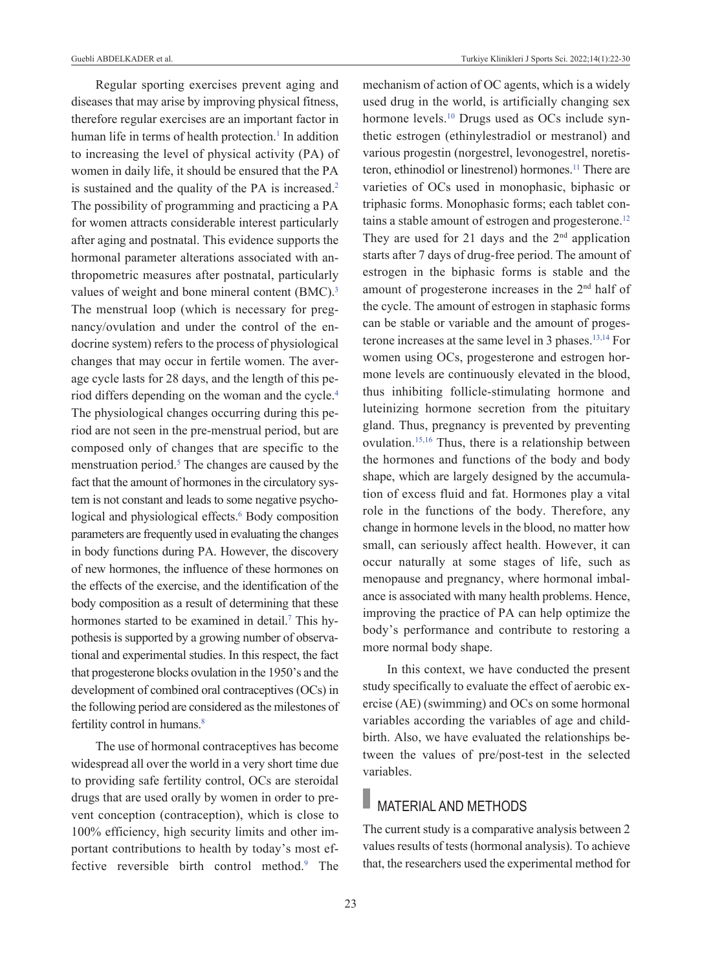Regular sporting exercises prevent aging and diseases that may arise by improving physical fitness, therefore regular exercises are an important factor in human life in terms of health protection.<sup>1</sup> In addition to increasing the level of physical activity (PA) of women in daily life, it should be ensured that the PA is sustained and the quality of the PA is increased.<sup>2</sup> The possibility of programming and practicing a PA for women attracts considerable interest particularly after aging and postnatal. This evidence supports the hormonal parameter alterations associated with anthropometric measures after postnatal, particularly values of weight and bone mineral content (BMC).<sup>3</sup> The menstrual loop (which is necessary for pregnancy/ovulation and under the control of the endocrine system) refers to the process of physiological changes that may occur in fertile women. The average cycle lasts for 28 days, and the length of this period differs depending on the woman and the cycle[.4](#page-7-0) The physiological changes occurring during this period are not seen in the pre-menstrual period, but are composed only of changes that are specific to the menstruation period.<sup>5</sup> The changes are caused by the fact that the amount of hormones in the circulatory system is not constant and leads to some negative psychological and physiological effects.<sup>6</sup> Body composition parameters are frequently used in evaluating the changes in body functions during PA. However, the discovery of new hormones, the influence of these hormones on the effects of the exercise, and the identification of the body composition as a result of determining that these hormones started to be examined in detail.<sup>7</sup> This hypothesis is supported by a growing number of observational and experimental studies. In this respect, the fact that progesterone blocks ovulation in the 1950's and the development of combined oral contraceptives (OCs) in the following period are considered as the milestones of fertility control in humans.<sup>8</sup>

The use of hormonal contraceptives has become widespread all over the world in a very short time due to providing safe fertility control, OCs are steroidal drugs that are used orally by women in order to prevent conception (contraception), which is close to 100% efficiency, high security limits and other important contributions to health by today's most effective reversible birth control method.<sup>9</sup> The mechanism of action of OC agents, which is a widely used drug in the world, is artificially changing sex hormone levels.<sup>10</sup> Drugs used as OCs include synthetic estrogen (ethinylestradiol or mestranol) and various progestin (norgestrel, levonogestrel, noretisteron, ethinodiol or linestrenol) hormones.<sup>11</sup> There are varieties of OCs used in monophasic, biphasic or triphasic forms. Monophasic forms; each tablet contains a stable amount of estrogen and progesterone.<sup>12</sup> They are used for 21 days and the  $2<sup>nd</sup>$  application starts after 7 days of drug-free period. The amount of estrogen in the biphasic forms is stable and the amount of progesterone increases in the 2nd half of the cycle. The amount of estrogen in staphasic forms can be stable or variable and the amount of progesterone increases at the same level in 3 phases[.13,14](#page-7-0) For women using OCs, progesterone and estrogen hormone levels are continuously elevated in the blood, thus inhibiting follicle-stimulating hormone and luteinizing hormone secretion from the pituitary gland. Thus, pregnancy is prevented by preventing ovulation[.15,16](#page-7-0) Thus, there is a relationship between the hormones and functions of the body and body shape, which are largely designed by the accumulation of excess fluid and fat. Hormones play a vital role in the functions of the body. Therefore, any change in hormone levels in the blood, no matter how small, can seriously affect health. However, it can occur naturally at some stages of life, such as menopause and pregnancy, where hormonal imbalance is associated with many health problems. Hence, improving the practice of PA can help optimize the body's performance and contribute to restoring a more normal body shape.

In this context, we have conducted the present study specifically to evaluate the effect of aerobic exercise (AE) (swimming) and OCs on some hormonal variables according the variables of age and childbirth. Also, we have evaluated the relationships between the values of pre/post-test in the selected variables.

## **MATERIAL AND METHODS**

The current study is a comparative analysis between 2 values results of tests (hormonal analysis). To achieve that, the researchers used the experimental method for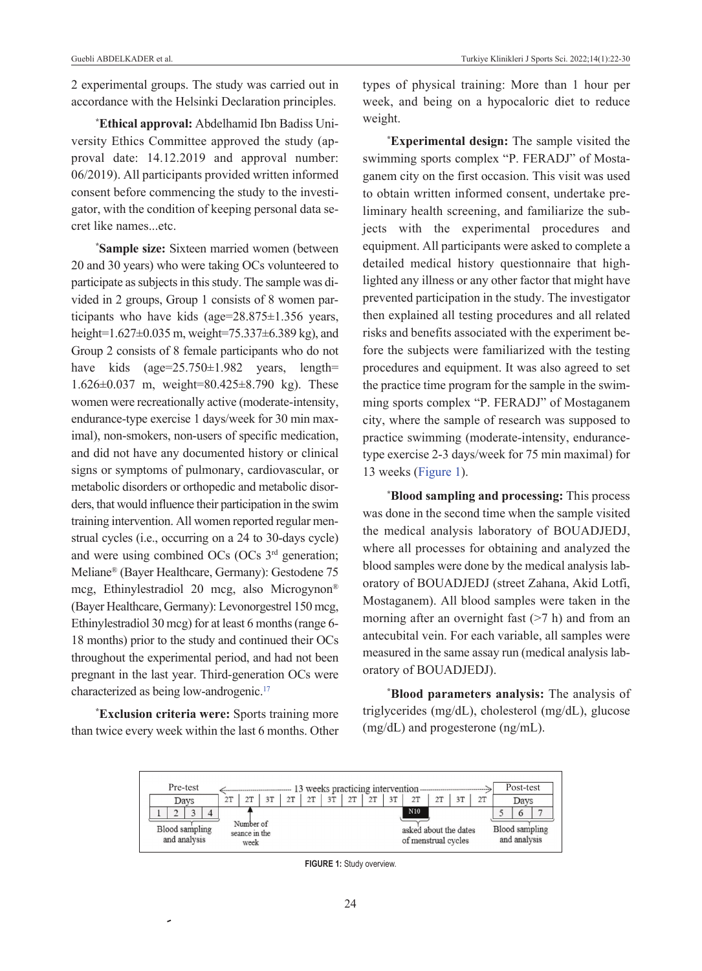2 experimental groups. The study was carried out in accordance with the Helsinki Declaration principles.

**\* Ethical approval:** Abdelhamid Ibn Badiss University Ethics Committee approved the study (approval date: 14.12.2019 and approval number: 06/2019). All participants provided written informed consent before commencing the study to the investigator, with the condition of keeping personal data secret like names...etc.

**\* Sample size:** Sixteen married women (between 20 and 30 years) who were taking OCs volunteered to participate as subjects in this study. The sample was divided in 2 groups, Group 1 consists of 8 women participants who have kids (age=28.875±1.356 years, height=1.627±0.035 m, weight=75.337±6.389 kg), and Group 2 consists of 8 female participants who do not have kids (age=25.750±1.982 years, length= 1.626±0.037 m, weight=80.425±8.790 kg). These women were recreationally active (moderate-intensity, endurance-type exercise 1 days/week for 30 min maximal), non-smokers, non-users of specific medication, and did not have any documented history or clinical signs or symptoms of pulmonary, cardiovascular, or metabolic disorders or orthopedic and metabolic disorders, that would influence their participation in the swim training intervention. All women reported regular menstrual cycles (i.e., occurring on a 24 to 30-days cycle) and were using combined OCs (OCs 3<sup>rd</sup> generation; Meliane® (Bayer Healthcare, Germany): Gestodene 75 mcg, Ethinylestradiol 20 mcg, also Microgynon® (Bayer Healthcare, Germany): Levonorgestrel 150 mcg, Ethinylestradiol 30 mcg) for at least 6 months (range 6- 18 months) prior to the study and continued their OCs throughout the experimental period, and had not been pregnant in the last year. Third-generation OCs were characterized as being low-androgenic[.17](#page-7-0)

**\* Exclusion criteria were:** Sports training more than twice every week within the last 6 months. Other

types of physical training: More than 1 hour per week, and being on a hypocaloric diet to reduce weight.

**\* Experimental design:** The sample visited the swimming sports complex "P. FERADJ" of Mostaganem city on the first occasion. This visit was used to obtain written informed consent, undertake preliminary health screening, and familiarize the subjects with the experimental procedures and equipment. All participants were asked to complete a detailed medical history questionnaire that highlighted any illness or any other factor that might have prevented participation in the study. The investigator then explained all testing procedures and all related risks and benefits associated with the experiment before the subjects were familiarized with the testing procedures and equipment. It was also agreed to set the practice time program for the sample in the swimming sports complex "P. FERADJ" of Mostaganem city, where the sample of research was supposed to practice swimming (moderate-intensity, endurancetype exercise 2-3 days/week for 75 min maximal) for 13 weeks [\(Figure 1\)](#page-2-0).

**\* Blood sampling and processing:** This process was done in the second time when the sample visited the medical analysis laboratory of BOUADJEDJ, where all processes for obtaining and analyzed the blood samples were done by the medical analysis laboratory of BOUADJEDJ (street Zahana, Akid Lotfi, Mostaganem). All blood samples were taken in the morning after an overnight fast  $(27 h)$  and from an antecubital vein. For each variable, all samples were measured in the same assay run (medical analysis laboratory of BOUADJEDJ).

<span id="page-2-0"></span>**\* Blood parameters analysis:** The analysis of triglycerides (mg/dL), cholesterol (mg/dL), glucose (mg/dL) and progesterone (ng/mL).



**FIGURE 1:** Study overview.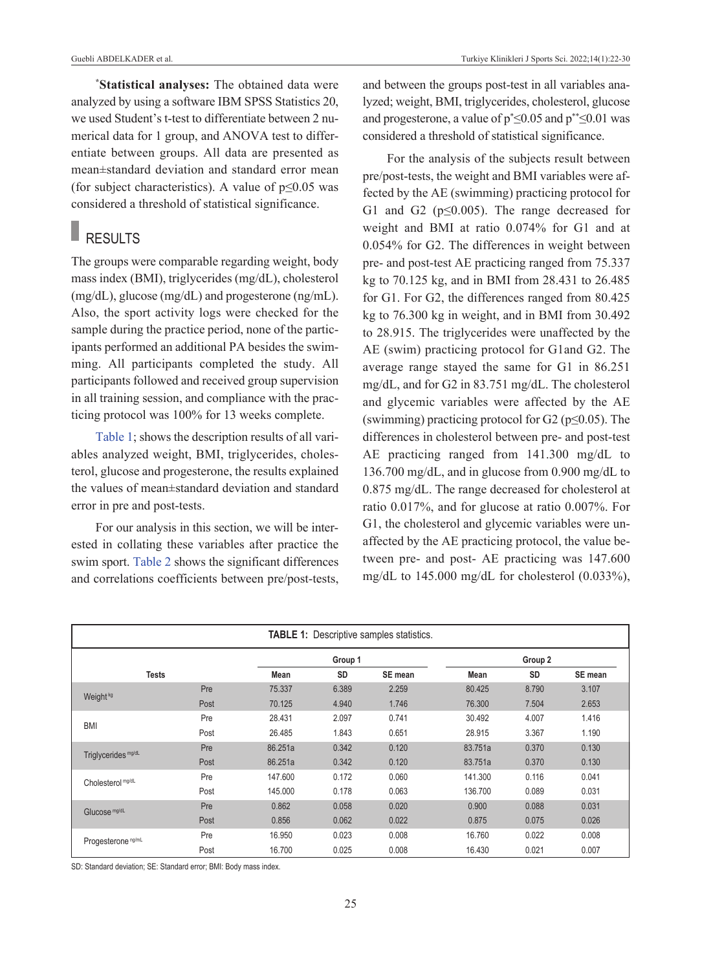**\* Statistical analyses:** The obtained data were analyzed by using a software IBM SPSS Statistics 20, we used Student's t-test to differentiate between 2 numerical data for 1 group, and ANOVA test to differentiate between groups. All data are presented as mean±standard deviation and standard error mean (for subject characteristics). A value of  $p \le 0.05$  was considered a threshold of statistical significance.

## **RESULTS**

The groups were comparable regarding weight, body mass index (BMI), triglycerides (mg/dL), cholesterol (mg/dL), glucose (mg/dL) and progesterone (ng/mL). Also, the sport activity logs were checked for the sample during the practice period, none of the participants performed an additional PA besides the swimming. All participants completed the study. All participants followed and received group supervision in all training session, and compliance with the practicing protocol was 100% for 13 weeks complete.

[Table 1;](#page-3-0) shows the description results of all variables analyzed weight, BMI, triglycerides, cholesterol, glucose and progesterone, the results explained the values of mean±standard deviation and standard error in pre and post-tests.

For our analysis in this section, we will be interested in collating these variables after practice the swim sport. [Table 2](#page-4-0) shows the significant differences and correlations coefficients between pre/post-tests, and between the groups post-test in all variables analyzed; weight, BMI, triglycerides, cholesterol, glucose and progesterone, a value of  $p^* \le 0.05$  and  $p^{**} \le 0.01$  was considered a threshold of statistical significance.

<span id="page-3-0"></span>For the analysis of the subjects result between pre/post-tests, the weight and BMI variables were affected by the AE (swimming) practicing protocol for G1 and G2 (p≤0.005). The range decreased for weight and BMI at ratio 0.074% for G1 and at 0.054% for G2. The differences in weight between pre- and post-test AE practicing ranged from 75.337 kg to 70.125 kg, and in BMI from 28.431 to 26.485 for G1. For G2, the differences ranged from 80.425 kg to 76.300 kg in weight, and in BMI from 30.492 to 28.915. The triglycerides were unaffected by the AE (swim) practicing protocol for G1and G2. The average range stayed the same for G1 in 86.251 mg/dL, and for G2 in 83.751 mg/dL. The cholesterol and glycemic variables were affected by the AE (swimming) practicing protocol for G2 ( $p \le 0.05$ ). The differences in cholesterol between pre- and post-test AE practicing ranged from 141.300 mg/dL to 136.700 mg/dL, and in glucose from 0.900 mg/dL to 0.875 mg/dL. The range decreased for cholesterol at ratio 0.017%, and for glucose at ratio 0.007%. For G1, the cholesterol and glycemic variables were unaffected by the AE practicing protocol, the value between pre- and post- AE practicing was 147.600 mg/dL to 145.000 mg/dL for cholesterol (0.033%),

| <b>TABLE 1: Descriptive samples statistics.</b> |      |         |           |         |             |           |         |  |  |  |  |
|-------------------------------------------------|------|---------|-----------|---------|-------------|-----------|---------|--|--|--|--|
|                                                 |      |         | Group 1   |         | Group 2     |           |         |  |  |  |  |
| <b>Tests</b>                                    |      | Mean    | <b>SD</b> | SE mean | <b>Mean</b> | <b>SD</b> | SE mean |  |  |  |  |
|                                                 | Pre  | 75.337  | 6.389     | 2.259   | 80.425      | 8.790     | 3.107   |  |  |  |  |
| Weight <sup>kg</sup>                            | Post | 70.125  | 4.940     | 1.746   | 76.300      | 7.504     | 2.653   |  |  |  |  |
|                                                 | Pre  | 28.431  | 2.097     | 0.741   | 30.492      | 4.007     | 1.416   |  |  |  |  |
| <b>BMI</b>                                      | Post | 26.485  | 1.843     | 0.651   | 28.915      | 3.367     | 1.190   |  |  |  |  |
|                                                 | Pre  | 86.251a | 0.342     | 0.120   | 83.751a     | 0.370     | 0.130   |  |  |  |  |
| Triglycerides <sup>mg/dL</sup>                  | Post | 86.251a | 0.342     | 0.120   | 83.751a     | 0.370     | 0.130   |  |  |  |  |
| Cholesterol mg/dL                               | Pre  | 147.600 | 0.172     | 0.060   | 141.300     | 0.116     | 0.041   |  |  |  |  |
|                                                 | Post | 145.000 | 0.178     | 0.063   | 136.700     | 0.089     | 0.031   |  |  |  |  |
| Glucose mg/dL                                   | Pre  | 0.862   | 0.058     | 0.020   | 0.900       | 0.088     | 0.031   |  |  |  |  |
|                                                 | Post | 0.856   | 0.062     | 0.022   | 0.875       | 0.075     | 0.026   |  |  |  |  |
| Progesterone <sup>ng/mL</sup>                   | Pre  | 16.950  | 0.023     | 0.008   | 16.760      | 0.022     | 0.008   |  |  |  |  |
|                                                 | Post | 16.700  | 0.025     | 0.008   | 16.430      | 0.021     | 0.007   |  |  |  |  |

SD: Standard deviation; SE: Standard error; BMI: Body mass index.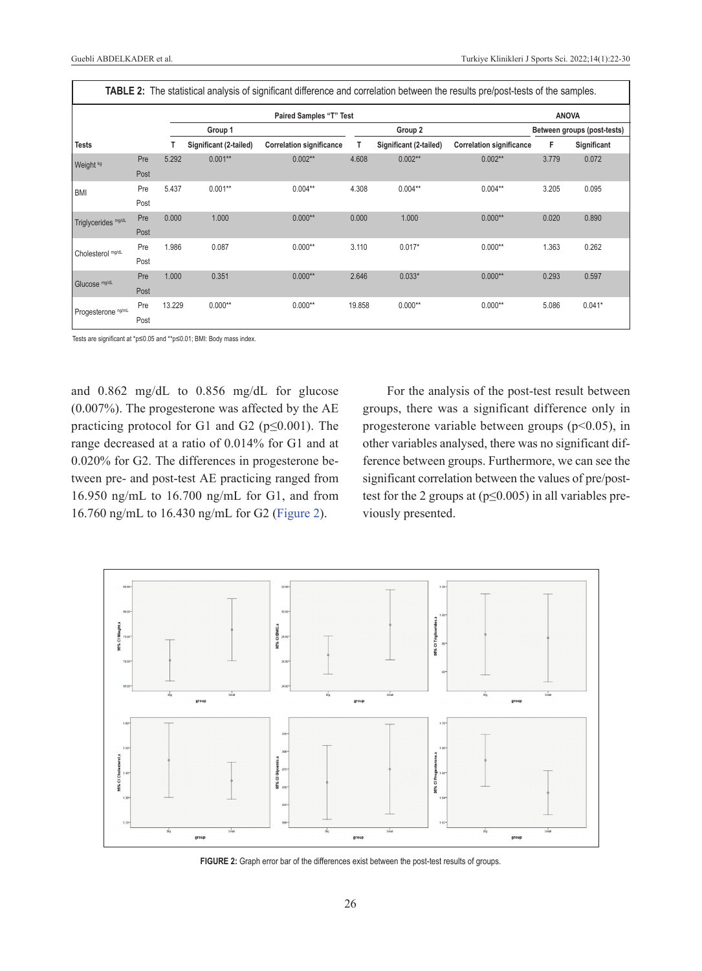| <b>TABLE 2:</b> The statistical analysis of significant difference and correlation between the results pre/post-tests of the samples. |      |        |                        |                                 |        |                             |                                 |       |             |  |  |  |
|---------------------------------------------------------------------------------------------------------------------------------------|------|--------|------------------------|---------------------------------|--------|-----------------------------|---------------------------------|-------|-------------|--|--|--|
|                                                                                                                                       |      |        |                        | <b>ANOVA</b>                    |        |                             |                                 |       |             |  |  |  |
| Group 1                                                                                                                               |      |        | Group 2                |                                 |        | Between groups (post-tests) |                                 |       |             |  |  |  |
| <b>Tests</b>                                                                                                                          |      |        | Significant (2-tailed) | <b>Correlation significance</b> | т      | Significant (2-tailed)      | <b>Correlation significance</b> | F     | Significant |  |  |  |
| Weight <sup>kg</sup>                                                                                                                  | Pre  | 5.292  | $0.001**$              | $0.002**$                       | 4.608  | $0.002**$                   | $0.002**$                       | 3.779 | 0.072       |  |  |  |
|                                                                                                                                       | Post |        |                        |                                 |        |                             |                                 |       |             |  |  |  |
| <b>BMI</b>                                                                                                                            | Pre  | 5.437  | $0.001**$              | $0.004**$                       | 4.308  | $0.004**$                   | $0.004**$                       | 3.205 | 0.095       |  |  |  |
|                                                                                                                                       | Post |        |                        |                                 |        |                             |                                 |       |             |  |  |  |
| Triglycerides mg/dL                                                                                                                   | Pre  | 0.000  | 1.000                  | $0.000**$                       | 0.000  | 1.000                       | $0.000**$                       | 0.020 | 0.890       |  |  |  |
|                                                                                                                                       | Post |        |                        |                                 |        |                             |                                 |       |             |  |  |  |
| Cholesterol mg/dL                                                                                                                     | Pre  | 1.986  | 0.087                  | $0.000**$                       | 3.110  | $0.017*$                    | $0.000**$                       | 1.363 | 0.262       |  |  |  |
|                                                                                                                                       | Post |        |                        |                                 |        |                             |                                 |       |             |  |  |  |
| Glucose mg/dL                                                                                                                         | Pre  | 1.000  | 0.351                  | $0.000**$                       | 2.646  | $0.033*$                    | $0.000**$                       | 0.293 | 0.597       |  |  |  |
|                                                                                                                                       | Post |        |                        |                                 |        |                             |                                 |       |             |  |  |  |
| Progesterone ng/mL                                                                                                                    | Pre  | 13.229 | $0.000**$              | $0.000**$                       | 19.858 | $0.000**$                   | $0.000**$                       | 5.086 | $0.041*$    |  |  |  |
|                                                                                                                                       | Post |        |                        |                                 |        |                             |                                 |       |             |  |  |  |

Tests are significant at \*p≤0.05 and \*\*p≤0.01; BMI: Body mass index.

and 0.862 mg/dL to 0.856 mg/dL for glucose (0.007%). The progesterone was affected by the AE practicing protocol for G1 and G2 ( $p \le 0.001$ ). The range decreased at a ratio of 0.014% for G1 and at 0.020% for G2. The differences in progesterone between pre- and post-test AE practicing ranged from 16.950 ng/mL to 16.700 ng/mL for G1, and from 16.760 ng/mL to 16.430 ng/mL for G2 [\(Figure 2\)](#page-4-1).

<span id="page-4-0"></span>For the analysis of the post-test result between groups, there was a significant difference only in progesterone variable between groups ( $p<0.05$ ), in other variables analysed, there was no significant difference between groups. Furthermore, we can see the significant correlation between the values of pre/posttest for the 2 groups at  $(p \le 0.005)$  in all variables previously presented.



<span id="page-4-1"></span>**FIGURE 2:** Graph error bar of the differences exist between the post-test results of groups.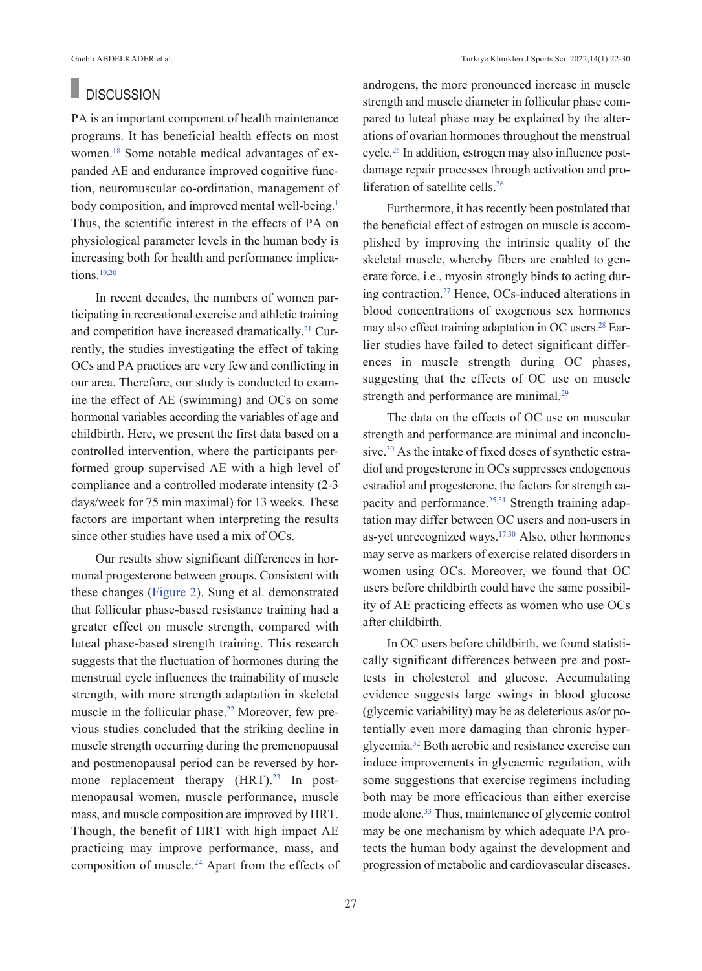#### r. **DISCUSSION**

PA is an important component of health maintenance programs. It has beneficial health effects on most women[.18](#page-7-0) Some notable medical advantages of expanded AE and endurance improved cognitive function, neuromuscular co-ordination, management of body composition, and improved mental well-being.<sup>1</sup> Thus, the scientific interest in the effects of PA on physiological parameter levels in the human body is increasing both for health and performance implications[.19,20](#page-7-0)

In recent decades, the numbers of women participating in recreational exercise and athletic training and competition have increased dramatically.<sup>21</sup> Currently, the studies investigating the effect of taking OCs and PA practices are very few and conflicting in our area. Therefore, our study is conducted to examine the effect of AE (swimming) and OCs on some hormonal variables according the variables of age and childbirth. Here, we present the first data based on a controlled intervention, where the participants performed group supervised AE with a high level of compliance and a controlled moderate intensity (2-3 days/week for 75 min maximal) for 13 weeks. These factors are important when interpreting the results since other studies have used a mix of OCs.

Our results show significant differences in hormonal progesterone between groups, Consistent with these changes [\(Figure 2\)](#page-4-1). Sung et al. demonstrated that follicular phase-based resistance training had a greater effect on muscle strength, compared with luteal phase-based strength training. This research suggests that the fluctuation of hormones during the menstrual cycle influences the trainability of muscle strength, with more strength adaptation in skeletal muscle in the follicular phase.<sup>22</sup> Moreover, few previous studies concluded that the striking decline in muscle strength occurring during the premenopausal and postmenopausal period can be reversed by hormone replacement therapy  $(HRT)$ .<sup>23</sup> In postmenopausal women, muscle performance, muscle mass, and muscle composition are improved by HRT. Though, the benefit of HRT with high impact AE practicing may improve performance, mass, and composition of muscle[.24](#page-7-0) Apart from the effects of androgens, the more pronounced increase in muscle strength and muscle diameter in follicular phase compared to luteal phase may be explained by the alterations of ovarian hormones throughout the menstrual cycle[.25](#page-7-0) In addition, estrogen may also influence postdamage repair processes through activation and proliferation of satellite cells.<sup>26</sup>

Furthermore, it has recently been postulated that the beneficial effect of estrogen on muscle is accomplished by improving the intrinsic quality of the skeletal muscle, whereby fibers are enabled to generate force, i.e., myosin strongly binds to acting during contraction[.27](#page-7-0) Hence, OCs-induced alterations in blood concentrations of exogenous sex hormones may also effect training adaptation in OC users[.28](#page-7-0) Earlier studies have failed to detect significant differences in muscle strength during OC phases, suggesting that the effects of OC use on muscle strength and performance are minimal.<sup>29</sup>

The data on the effects of OC use on muscular strength and performance are minimal and inconclusive.<sup>30</sup> As the intake of fixed doses of synthetic estradiol and progesterone in OCs suppresses endogenous estradiol and progesterone, the factors for strength capacity and performance.<sup>25,31</sup> Strength training adaptation may differ between OC users and non-users in as-yet unrecognized ways[.17,30](#page-7-0) Also, other hormones may serve as markers of exercise related disorders in women using OCs. Moreover, we found that OC users before childbirth could have the same possibility of AE practicing effects as women who use OCs after childbirth.

In OC users before childbirth, we found statistically significant differences between pre and posttests in cholesterol and glucose. Accumulating evidence suggests large swings in blood glucose (glycemic variability) may be as deleterious as/or potentially even more damaging than chronic hyperglycemia[.32](#page-7-0) Both aerobic and resistance exercise can induce improvements in glycaemic regulation, with some suggestions that exercise regimens including both may be more efficacious than either exercise mode alone[.33](#page-7-0) Thus, maintenance of glycemic control may be one mechanism by which adequate PA protects the human body against the development and progression of metabolic and cardiovascular diseases.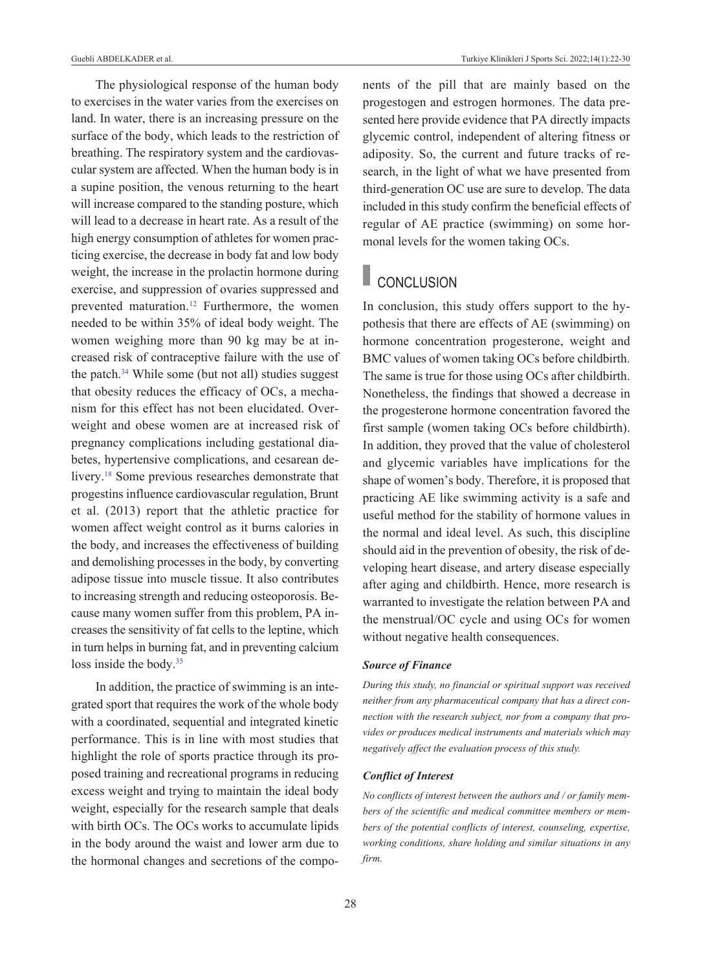The physiological response of the human body to exercises in the water varies from the exercises on land. In water, there is an increasing pressure on the surface of the body, which leads to the restriction of breathing. The respiratory system and the cardiovascular system are affected. When the human body is in a supine position, the venous returning to the heart will increase compared to the standing posture, which will lead to a decrease in heart rate. As a result of the high energy consumption of athletes for women practicing exercise, the decrease in body fat and low body weight, the increase in the prolactin hormone during exercise, and suppression of ovaries suppressed and prevented maturation[.12](#page-7-0) Furthermore, the women needed to be within 35% of ideal body weight. The women weighing more than 90 kg may be at increased risk of contraceptive failure with the use of the patch. $34$  While some (but not all) studies suggest that obesity reduces the efficacy of OCs, a mechanism for this effect has not been elucidated. Overweight and obese women are at increased risk of pregnancy complications including gestational diabetes, hypertensive complications, and cesarean delivery.<sup>18</sup> Some previous researches demonstrate that progestins influence cardiovascular regulation, Brunt et al. (2013) report that the athletic practice for women affect weight control as it burns calories in the body, and increases the effectiveness of building and demolishing processes in the body, by converting adipose tissue into muscle tissue. It also contributes to increasing strength and reducing osteoporosis. Because many women suffer from this problem, PA increases the sensitivity of fat cells to the leptine, which in turn helps in burning fat, and in preventing calcium loss inside the body.<sup>35</sup>

In addition, the practice of swimming is an integrated sport that requires the work of the whole body with a coordinated, sequential and integrated kinetic performance. This is in line with most studies that highlight the role of sports practice through its proposed training and recreational programs in reducing excess weight and trying to maintain the ideal body weight, especially for the research sample that deals with birth OCs. The OCs works to accumulate lipids in the body around the waist and lower arm due to the hormonal changes and secretions of the components of the pill that are mainly based on the progestogen and estrogen hormones. The data presented here provide evidence that PA directly impacts glycemic control, independent of altering fitness or adiposity. So, the current and future tracks of research, in the light of what we have presented from third-generation OC use are sure to develop. The data included in this study confirm the beneficial effects of regular of AE practice (swimming) on some hormonal levels for the women taking OCs.

### **CONCLUSION**

In conclusion, this study offers support to the hypothesis that there are effects of AE (swimming) on hormone concentration progesterone, weight and BMC values of women taking OCs before childbirth. The same is true for those using OCs after childbirth. Nonetheless, the findings that showed a decrease in the progesterone hormone concentration favored the first sample (women taking OCs before childbirth). In addition, they proved that the value of cholesterol and glycemic variables have implications for the shape of women's body. Therefore, it is proposed that practicing AE like swimming activity is a safe and useful method for the stability of hormone values in the normal and ideal level. As such, this discipline should aid in the prevention of obesity, the risk of developing heart disease, and artery disease especially after aging and childbirth. Hence, more research is warranted to investigate the relation between PA and the menstrual/OC cycle and using OCs for women without negative health consequences.

#### *Source of Finance*

*During this study, no financial or spiritual support was received neither from any pharmaceutical company that has a direct connection with the research subject, nor from a company that provides or produces medical instruments and materials which may negatively affect the evaluation process of this study.* 

### *Conflict of Interest*

*No conflicts of interest between the authors and / or family members of the scientific and medical committee members or members of the potential conflicts of interest, counseling, expertise, working conditions, share holding and similar situations in any firm.*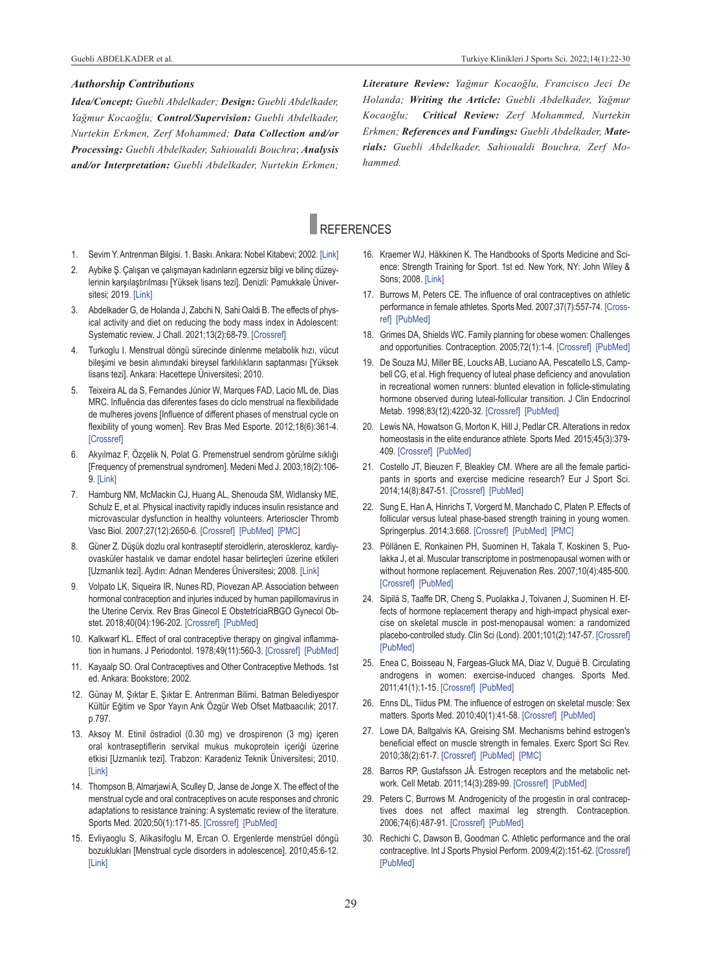*Idea/Concept: Guebli Abdelkader; Design: Guebli Abdelkader, Yağmur Kocaoğlu; Control/Supervision: Guebli Abdelkader, Nurtekin Erkmen, Zerf Mohammed; Data Collection and/or Processing: Guebli Abdelkader, Sahioualdi Bouchra*; *Analysis and/or Interpretation: Guebli Abdelkader, Nurtekin Erkmen;*  *Literature Review: Yağmur Kocaoğlu, Francisco Jeci De Holanda; Writing the Article: Guebli Abdelkader, Yağmur Kocaoğlu; Critical Review: Zerf Mohammed, Nurtekin Erkmen; References and Fundings: Guebli Abdelkader, Materials: Guebli Abdelkader, Sahioualdi Bouchra, Zerf Mohammed.*

### **REFERENCES**

- 1. Sevim Y. Antrenman Bilgisi. 1. Baskı. Ankara: Nobel Kitabevi; 2002. [\[Link\]](https://www.worldcat.org/title/antrenman-bilgisi/oclc/850826316&referer=brief_results)
- 2. Aybike Ş. Çalışan ve çalışmayan kadınların egzersiz bilgi ve bilinç düzeylerinin karşılaştırılması [Yüksek lisans tezi]. Denizli: Pamukkale Üniversitesi; 2019. [\[Link\]](http://acikerisim.pau.edu.tr:8080/xmlui/handle/11499/3203)
- 3. Abdelkader G, de Holanda J, Zabchi N, Sahi Oaldi B. The effects of physical activity and diet on reducing the body mass index in Adolescent: Systematic review. J Chall. 2021;13(2):68-79. [\[Crossref\]](https://search.mandumah.com/Record/1175082)
- 4. Turkoglu I. Menstrual döngü sürecinde dinlenme metabolik hızı, vücut bileşimi ve besin alımındaki bireysel farklılıkların saptanması [Yüksek lisans tezi]. Ankara: Hacettepe Üniversitesi; 2010.
- 5. Teixeira AL da S, Fernandes Júnior W, Marques FAD, Lacio ML de, Dias MRC. Influência das diferentes fases do ciclo menstrual na flexibilidade de mulheres jovens [Influence of different phases of menstrual cycle on flexibility of young women]. Rev Bras Med Esporte. 2012;18(6):361-4. **[\[Crossref\]](https://doi.org/10.1590/S1517-86922012000600002)**
- 6. Akyılmaz F, Özçelik N, Polat G. Premenstruel sendrom görülme sıklığı [Frequency of premenstrual syndromen]. Medeni Med J. 2003;18(2):106- 9. [\[Link\]](https://jag.journalagent.com/medeniyet/pdfs/MEDJ_18_2_106_109.pdf)
- 7. Hamburg NM, McMackin CJ, Huang AL, Shenouda SM, Widlansky ME, Schulz E, et al. Physical inactivity rapidly induces insulin resistance and microvascular dysfunction in healthy volunteers. Arterioscler Thromb Vasc Biol. 2007;27(12):2650-6. [\[Crossref\]](https://www.ahajournals.org/doi/10.1161/ATVBAHA.107.153288) [\[PubMed\]](https://pubmed.ncbi.nlm.nih.gov/17932315/) [\[PMC\]](https://www.ncbi.nlm.nih.gov/pmc/articles/PMC2596308/)
- 8. Güner Z. Düşük dozlu oral kontraseptif steroidlerin, ateroskleroz, kardiyovasküler hastalık ve damar endotel hasar belirteçleri üzerine etkileri [Uzmanlık tezi]. Aydın: Adnan Menderes Üniversitesi; 2008. [\[Link\]](http://adudspace.adu.edu.tr:8080/xmlui/handle/11607/874)
- 9. Volpato LK, Siqueira IR, Nunes RD, Piovezan AP. Association between hormonal contraception and injuries induced by human papillomavirus in the Uterine Cervix. Rev Bras Ginecol E ObstetríciaRBGO Gynecol Obstet. 2018;40(04):196-202. [\[Crossref\]](https://www.thieme-connect.de/products/ejournals/abstract/10.1055/s-0038-1642603) [\[PubMed\]](https://pubmed.ncbi.nlm.nih.gov/29702717/)
- 10. Kalkwarf KL. Effect of oral contraceptive therapy on gingival inflammation in humans. J Periodontol. 1978;49(11):560-3. [\[Crossref\]](https://aap.onlinelibrary.wiley.com/doi/abs/10.1902/jop.1978.49.11.560) [\[PubMed\]](https://pubmed.ncbi.nlm.nih.gov/281485/)
- 11. Kayaalp SO. Oral Contraceptives and Other Contraceptive Methods. 1st ed. Ankara: Bookstore; 2002.
- 12. Günay M, Şıktar E, Şıktar E. Antrenman Bilimi. Batman Belediyespor Kültür Eğitim ve Spor Yayın Ank Özgür Web Ofset Matbaacılık; 2017. p.797.
- 13. Aksoy M. Etinil östradiol (0.30 mg) ve drospirenon (3 mg) içeren oral kontraseptiflerin servikal mukus mukoprotein içeriği üzerine etkisi [Uzmanlık tezi]. Trabzon: Karadeniz Teknik Üniversitesi; 2010. [\[Link\]](https://tez.yok.gov.tr/UlusalTezMerkezi/tezDetay.jsp?id=4siPA_jbd5127S4lRdf3gg&no=C8SGHRARx9LNSyASMBWBZA)
- 14. Thompson B, Almarjawi A, Sculley D, Janse de Jonge X. The effect of the menstrual cycle and oral contraceptives on acute responses and chronic adaptations to resistance training: A systematic review of the literature. Sports Med. 2020;50(1):171-85. [\[Crossref\]](https://link.springer.com/article/10.1007/s40279-019-01219-1) [\[PubMed\]](https://pubmed.ncbi.nlm.nih.gov/31677121/)
- 15. Evliyaoglu S, Alikasifoglu M, Ercan O. Ergenlerde menstrüel döngü bozuklukları [Menstrual cycle disorders in adolescence]. 2010;45:6-12. [\[Link\]](https://www.researchgate.net/publication/41907747_Menstrual_cycle_disorders_in_adolescence)
- <span id="page-7-0"></span>16. Kraemer WJ, Häkkinen K. The Handbooks of Sports Medicine and Science: Strength Training for Sport. 1st ed. New York, NY: John Wiley & Sons; 2008. [\[Link\]](https://www.worldcat.org/title/handbook-of-sports-medicine-and-science-strength-training-for-sport/oclc/899161507&referer=brief_results)
- 17. Burrows M, Peters CE. The influence of oral contraceptives on athletic performance in female athletes. Sports Med. 2007;37(7):557-74. [\[Cross](https://link.springer.com/article/10.2165/00007256-200737070-00001)[ref\]](https://link.springer.com/article/10.2165/00007256-200737070-00001) [\[PubMed\]](https://pubmed.ncbi.nlm.nih.gov/17595152/)
- 18. Grimes DA, Shields WC. Family planning for obese women: Challenges and opportunities. Contraception. 2005;72(1):1-4. [\[Crossref\]](https://www.sciencedirect.com/science/article/abs/pii/S0010782405001071?via%3Dihub) [\[PubMed\]](https://pubmed.ncbi.nlm.nih.gov/15964284/)
- 19. De Souza MJ, Miller BE, Loucks AB, Luciano AA, Pescatello LS, Campbell CG, et al. High frequency of luteal phase deficiency and anovulation in recreational women runners: blunted elevation in follicle-stimulating hormone observed during luteal-follicular transition. J Clin Endocrinol Metab. 1998;83(12):4220-32. [\[Crossref\]](https://doi.org/10.1210/jc.83.12.4220) [\[PubMed\]](https://pubmed.ncbi.nlm.nih.gov/9851755/)
- 20. Lewis NA, Howatson G, Morton K, Hill J, Pedlar CR. Alterations in redox homeostasis in the elite endurance athlete. Sports Med. 2015;45(3):379- 409. [\[Crossref\]](https://link.springer.com/article/10.1007/s40279-014-0276-5) [\[PubMed\]](https://pubmed.ncbi.nlm.nih.gov/25319354/)
- 21. Costello JT, Bieuzen F, Bleakley CM. Where are all the female participants in sports and exercise medicine research? Eur J Sport Sci. 2014;14(8):847-51. [\[Crossref\]](https://www.tandfonline.com/doi/abs/10.1080/17461391.2014.911354) [\[PubMed\]](https://pubmed.ncbi.nlm.nih.gov/24766579/)
- 22. Sung E, Han A, Hinrichs T, Vorgerd M, Manchado C, Platen P. Effects of follicular versus luteal phase-based strength training in young women. Springerplus. 2014;3:668. [\[Crossref\]](https://springerplus.springeropen.com/articles/10.1186/2193-1801-3-668) [\[PubMed\]](https://pubmed.ncbi.nlm.nih.gov/25485203/) [\[PMC\]](https://www.ncbi.nlm.nih.gov/pmc/articles/PMC4236309/)
- 23. Pöllänen E, Ronkainen PH, Suominen H, Takala T, Koskinen S, Puolakka J, et al. Muscular transcriptome in postmenopausal women with or without hormone replacement. Rejuvenation Res. 2007;10(4):485-500. [\[Crossref\]](https://www.liebertpub.com/doi/10.1089/rej.2007.0536) [\[PubMed\]](https://pubmed.ncbi.nlm.nih.gov/17985945/)
- 24. Sipilä S, Taaffe DR, Cheng S, Puolakka J, Toivanen J, Suominen H. Effects of hormone replacement therapy and high-impact physical exercise on skeletal muscle in post-menopausal women: a randomized placebo-controlled study. Clin Sci (Lond). 2001;101(2):147-57. [\[Crossref\]](https://cs.portlandpress.com/cs/101/cs1010147.htm) [\[PubMed\]](https://pubmed.ncbi.nlm.nih.gov/11473488/)
- 25. Enea C, Boisseau N, Fargeas-Gluck MA, Diaz V, Dugué B. Circulating androgens in women: exercise-induced changes. Sports Med. 2011;41(1):1-15. [\[Crossref\]](https://link.springer.com/article/10.2165/11536920-000000000-00000) [\[PubMed\]](https://pubmed.ncbi.nlm.nih.gov/21142281/)
- 26. Enns DL, Tiidus PM. The influence of estrogen on skeletal muscle: Sex matters. Sports Med. 2010;40(1):41-58. [\[Crossref\]](https://link.springer.com/article/10.2165/11319760-000000000-00000) [\[PubMed\]](https://pubmed.ncbi.nlm.nih.gov/20020786/)
- 27. Lowe DA, Baltgalvis KA, Greising SM. Mechanisms behind estrogen's beneficial effect on muscle strength in females. Exerc Sport Sci Rev. 2010;38(2):61-7. [\[Crossref\]](https://journals.lww.com/acsm-essr/Fulltext/2010/04000/Mechanisms_Behind_Estrogen_s_Beneficial_Effect_on.4.aspx) [\[PubMed\]](https://pubmed.ncbi.nlm.nih.gov/20335737/) [\[PMC\]](https://www.ncbi.nlm.nih.gov/pmc/articles/PMC2873087/)
- 28. Barros RP, Gustafsson JÅ. Estrogen receptors and the metabolic network. Cell Metab. 2011;14(3):289-99. [\[Crossref\]](https://www.sciencedirect.com/science/article/pii/S1550413111003123?via%3Dihub) [\[PubMed\]](https://pubmed.ncbi.nlm.nih.gov/21907136/)
- 29. Peters C, Burrows M. Androgenicity of the progestin in oral contraceptives does not affect maximal leg strength. Contraception. 2006;74(6):487-91. [\[Crossref\]](https://www.sciencedirect.com/science/article/abs/pii/S0010782406003246?via%3Dihub) [\[PubMed\]](https://pubmed.ncbi.nlm.nih.gov/17157107/)
- 30. Rechichi C, Dawson B, Goodman C. Athletic performance and the oral contraceptive. Int J Sports Physiol Perform. 2009;4(2):151-62. [\[Crossref\]](https://journals.humankinetics.com/view/journals/ijspp/4/2/article-p151.xml) [\[PubMed\]](https://pubmed.ncbi.nlm.nih.gov/19567919/)